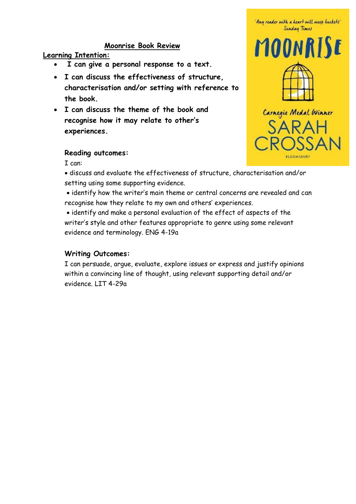## **Moonrise Book Review**

### **Learning Intention:**

- **I can give a personal response to a text.**
- **I can discuss the effectiveness of structure, characterisation and/or setting with reference to the book.**
- **I can discuss the theme of the book and recognise how it may relate to other's experiences.**



## **Reading outcomes:**

I can:

• discuss and evaluate the effectiveness of structure, characterisation and/or setting using some supporting evidence.

• identify how the writer's main theme or central concerns are revealed and can recognise how they relate to my own and others' experiences.

• identify and make a personal evaluation of the effect of aspects of the writer's style and other features appropriate to genre using some relevant evidence and terminology. ENG 4-19a

## **Writing Outcomes:**

I can persuade, argue, evaluate, explore issues or express and justify opinions within a convincing line of thought, using relevant supporting detail and/or evidence. LIT 4-29a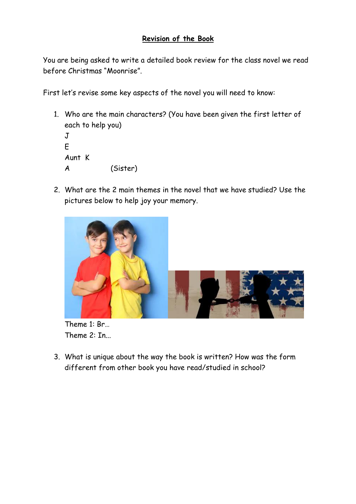## **Revision of the Book**

You are being asked to write a detailed book review for the class novel we read before Christmas "Moonrise".

First let's revise some key aspects of the novel you will need to know:

1. Who are the main characters? (You have been given the first letter of each to help you)  $J$ 

```
E 
Aunt K
A (Sister)
```
2. What are the 2 main themes in the novel that we have studied? Use the pictures below to help joy your memory.





3. What is unique about the way the book is written? How was the form different from other book you have read/studied in school?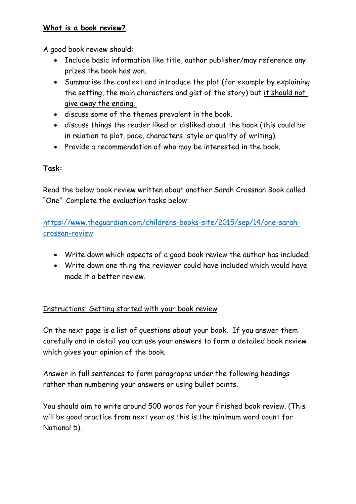## **What is a book review?**

A good book review should:

- Include basic information like title, author publisher/may reference any prizes the book has won.
- Summarise the context and introduce the plot (for example by explaining the setting, the main characters and gist of the story) but it should not give away the ending.
- discuss some of the themes prevalent in the book.
- discuss things the reader liked or disliked about the book (this could be in relation to plot, pace, characters, style or quality of writing).
- Provide a recommendation of who may be interested in the book.

# **Task:**

Read the below book review written about another Sarah Crossnan Book called "One". Complete the evaluation tasks below:

[https://www.theguardian.com/childrens-books-site/2015/sep/14/one-sarah](https://www.theguardian.com/childrens-books-site/2015/sep/14/one-sarah-crossan-review)[crossan-review](https://www.theguardian.com/childrens-books-site/2015/sep/14/one-sarah-crossan-review)

- Write down which aspects of a good book review the author has included.
- Write down one thing the reviewer could have included which would have made it a better review.

# Instructions: Getting started with your book review

On the next page is a list of questions about your book. If you answer them carefully and in detail you can use your answers to form a detailed book review which gives your opinion of the book.

Answer in full sentences to form paragraphs under the following headings rather than numbering your answers or using bullet points.

You should aim to write around 500 words for your finished book review. (This will be good practice from next year as this is the minimum word count for National 5).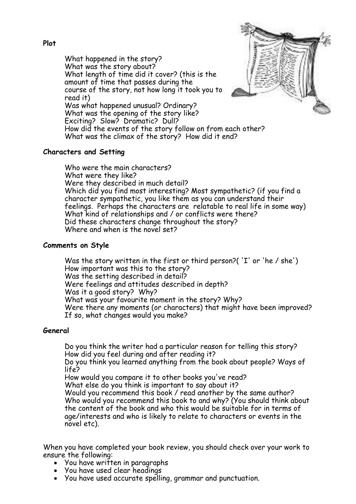• What happened in the story? What was the story about? • What length of time did it cover? (this is the amount of time that passes during the • course of the story, not how long it took you to read it) • Was what happened unusual? Ordinary? • What was the opening of the story like? Exciting? Slow? Dramatic? Dull? • How did the events of the story follow on from each other? • What was the climax of the story? How did it end?



#### **Characters and Setting**

Who were the main characters? • What were they like? Were they described in much detail? • Which did you find most interesting? Most sympathetic? (if you find a character sympathetic, you like them as you can understand their feelings. Perhaps the characters are relatable to real life in some way) What kind of relationships and / or conflicts were there? Did these characters change throughout the story? Where and when is the novel set?

#### **Comments on Style**

• Was the story written in the first or third person?( 'I' or 'he / she') • How important was this to the story? Was the setting described in detail? • Were feelings and attitudes described in depth? • Was it a good story? Why? • What was your favourite moment in the story? Why? • Were there any moments (or characters) that might have been improved? If so, what changes would you make?

#### **General**

• Do you think the writer had a particular reason for telling this story? • How did you feel during and after reading it?

• Do you think you learned anything from the book about people? Ways of life?

• How would you compare it to other books you've read?

What else do you think is important to say about it?

Would you recommend this book / read another by the same author? • Who would you recommend this book to and why? (You should think about the content of the book and who this would be suitable for in terms of age/interests and who is likely to relate to characters or events in the novel etc).

When you have completed your book review, you should check over your work to ensure the following:

- You have written in paragraphs
- You have used clear headings
- You have used accurate spelling, grammar and punctuation.

## **Plot**